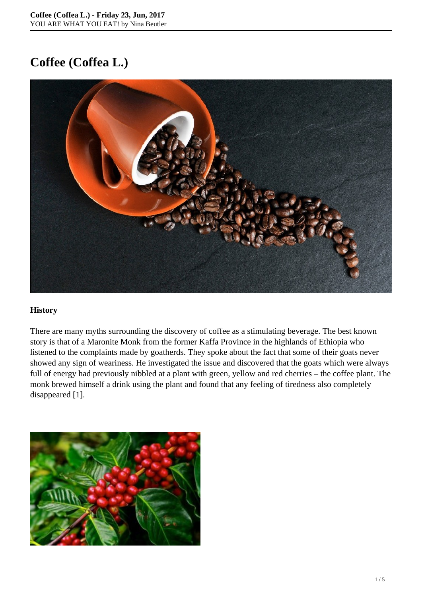# **Coffee (Coffea L.)**



## **History**

There are many myths surrounding the discovery of coffee as a stimulating beverage. The best known story is that of a Maronite Monk from the former Kaffa Province in the highlands of Ethiopia who listened to the complaints made by goatherds. They spoke about the fact that some of their goats never showed any sign of weariness. He investigated the issue and discovered that the goats which were always full of energy had previously nibbled at a plant with green, yellow and red cherries – the coffee plant. The monk brewed himself a drink using the plant and found that any feeling of tiredness also completely disappeared [1].

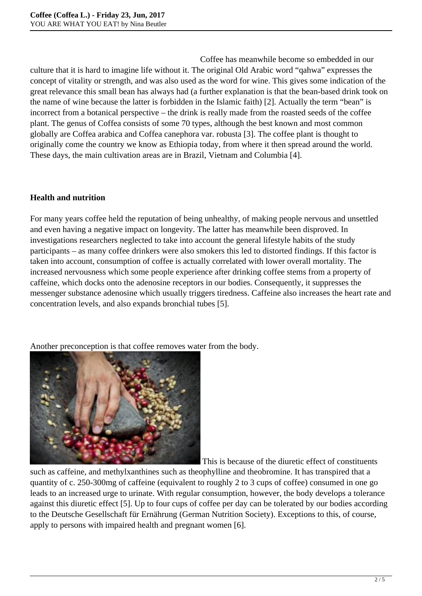Coffee has meanwhile become so embedded in our culture that it is hard to imagine life without it. The original Old Arabic word "qahwa" expresses the concept of vitality or strength, and was also used as the word for wine. This gives some indication of the great relevance this small bean has always had (a further explanation is that the bean-based drink took on the name of wine because the latter is forbidden in the Islamic faith) [2]. Actually the term "bean" is incorrect from a botanical perspective – the drink is really made from the roasted seeds of the coffee plant. The genus of Coffea consists of some 70 types, although the best known and most common globally are Coffea arabica and Coffea canephora var. robusta [3]. The coffee plant is thought to originally come the country we know as Ethiopia today, from where it then spread around the world. These days, the main cultivation areas are in Brazil, Vietnam and Columbia [4].

# **Health and nutrition**

For many years coffee held the reputation of being unhealthy, of making people nervous and unsettled and even having a negative impact on longevity. The latter has meanwhile been disproved. In investigations researchers neglected to take into account the general lifestyle habits of the study participants – as many coffee drinkers were also smokers this led to distorted findings. If this factor is taken into account, consumption of coffee is actually correlated with lower overall mortality. The increased nervousness which some people experience after drinking coffee stems from a property of caffeine, which docks onto the adenosine receptors in our bodies. Consequently, it suppresses the messenger substance adenosine which usually triggers tiredness. Caffeine also increases the heart rate and concentration levels, and also expands bronchial tubes [5].

Another preconception is that coffee removes water from the body.



This is because of the diuretic effect of constituents

such as caffeine, and methylxanthines such as theophylline and theobromine. It has transpired that a quantity of c. 250-300mg of caffeine (equivalent to roughly 2 to 3 cups of coffee) consumed in one go leads to an increased urge to urinate. With regular consumption, however, the body develops a tolerance against this diuretic effect [5]. Up to four cups of coffee per day can be tolerated by our bodies according to the Deutsche Gesellschaft für Ernährung (German Nutrition Society). Exceptions to this, of course, apply to persons with impaired health and pregnant women [6].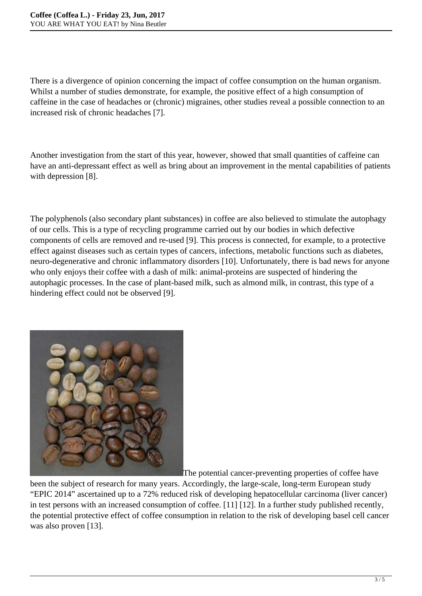There is a divergence of opinion concerning the impact of coffee consumption on the human organism. Whilst a number of studies demonstrate, for example, the positive effect of a high consumption of caffeine in the case of headaches or (chronic) migraines, other studies reveal a possible connection to an increased risk of chronic headaches [7].

Another investigation from the start of this year, however, showed that small quantities of caffeine can have an anti-depressant effect as well as bring about an improvement in the mental capabilities of patients with depression [8].

The polyphenols (also secondary plant substances) in coffee are also believed to stimulate the autophagy of our cells. This is a type of recycling programme carried out by our bodies in which defective components of cells are removed and re-used [9]. This process is connected, for example, to a protective effect against diseases such as certain types of cancers, infections, metabolic functions such as diabetes, neuro-degenerative and chronic inflammatory disorders [10]. Unfortunately, there is bad news for anyone who only enjoys their coffee with a dash of milk: animal-proteins are suspected of hindering the autophagic processes. In the case of plant-based milk, such as almond milk, in contrast, this type of a hindering effect could not be observed [9].



The potential cancer-preventing properties of coffee have

been the subject of research for many years. Accordingly, the large-scale, long-term European study "EPIC 2014" ascertained up to a 72% reduced risk of developing hepatocellular carcinoma (liver cancer) in test persons with an increased consumption of coffee. [11] [12]. In a further study published recently, the potential protective effect of coffee consumption in relation to the risk of developing basel cell cancer was also proven [13].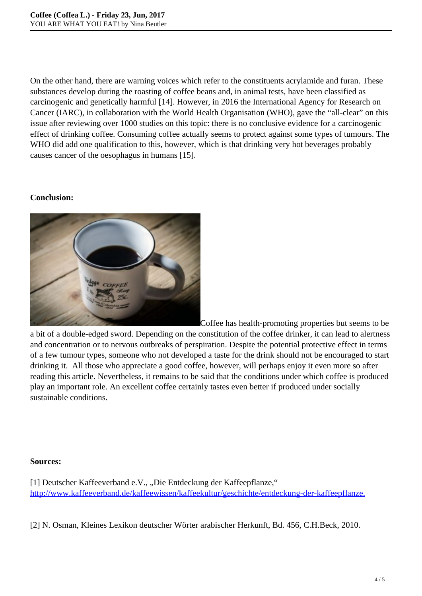On the other hand, there are warning voices which refer to the constituents acrylamide and furan. These substances develop during the roasting of coffee beans and, in animal tests, have been classified as carcinogenic and genetically harmful [14]. However, in 2016 the International Agency for Research on Cancer (IARC), in collaboration with the World Health Organisation (WHO), gave the "all-clear" on this issue after reviewing over 1000 studies on this topic: there is no conclusive evidence for a carcinogenic effect of drinking coffee. Consuming coffee actually seems to protect against some types of tumours. The WHO did add one qualification to this, however, which is that drinking very hot beverages probably causes cancer of the oesophagus in humans [15].

## **Conclusion:**



Coffee has health-promoting properties but seems to be

a bit of a double-edged sword. Depending on the constitution of the coffee drinker, it can lead to alertness and concentration or to nervous outbreaks of perspiration. Despite the potential protective effect in terms of a few tumour types, someone who not developed a taste for the drink should not be encouraged to start drinking it. All those who appreciate a good coffee, however, will perhaps enjoy it even more so after reading this article. Nevertheless, it remains to be said that the conditions under which coffee is produced play an important role. An excellent coffee certainly tastes even better if produced under socially sustainable conditions.

#### **Sources:**

[1] Deutscher Kaffeeverband e.V., "Die Entdeckung der Kaffeepflanze," [http://www.kaffeeverband.de/kaffeewissen/kaffeekultur/geschichte/entdeckung-der-kaffeepflanze.](http://www.kaffeeverband.de/kaffeewissen/kaffeekultur/geschichte/entdeckung-der-kaffeepflanze)

[2] N. Osman, Kleines Lexikon deutscher Wörter arabischer Herkunft, Bd. 456, C.H.Beck, 2010.